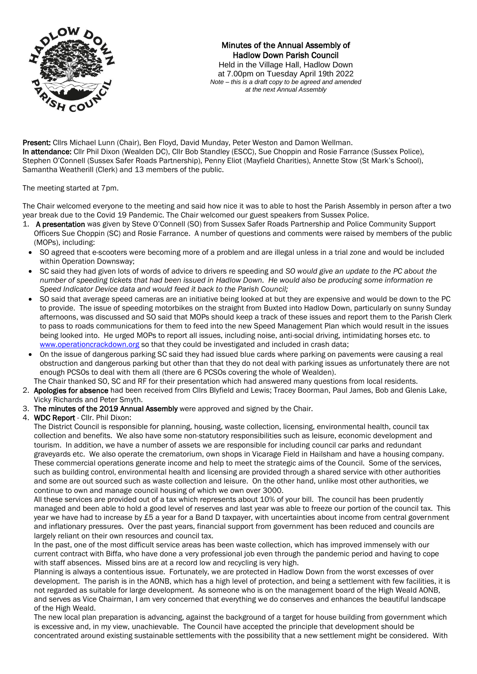

Minutes of the Annual Assembly of Hadlow Down Parish Council Held in the Village Hall, Hadlow Down at 7.00pm on Tuesday April 19th 2022 *Note – this is a draft copy to be agreed and amended at the next Annual Assembly*

Present: Cllrs Michael Lunn (Chair), Ben Floyd, David Munday, Peter Weston and Damon Wellman. In attendance: Cllr Phil Dixon (Wealden DC), Cllr Bob Standley (ESCC), Sue Choppin and Rosie Farrance (Sussex Police), Stephen O'Connell (Sussex Safer Roads Partnership), Penny Eliot (Mayfield Charities), Annette Stow (St Mark's School), Samantha Weatherill (Clerk) and 13 members of the public.

The meeting started at 7pm.

The Chair welcomed everyone to the meeting and said how nice it was to able to host the Parish Assembly in person after a two year break due to the Covid 19 Pandemic. The Chair welcomed our guest speakers from Sussex Police.

- 1. A presentation was given by Steve O'Connell (SO) from Sussex Safer Roads Partnership and Police Community Support Officers Sue Choppin (SC) and Rosie Farrance. A number of questions and comments were raised by members of the public (MOPs), including:
- SO agreed that e-scooters were becoming more of a problem and are illegal unless in a trial zone and would be included within Operation Downsway;
- SC said they had given lots of words of advice to drivers re speeding and *SO would give an update to the PC about the number of speeding tickets that had been issued in Hadlow Down. He would also be producing some information re Speed Indicator Device data and would feed it back to the Parish Council;*
- SO said that average speed cameras are an initiative being looked at but they are expensive and would be down to the PC to provide. The issue of speeding motorbikes on the straight from Buxted into Hadlow Down, particularly on sunny Sunday afternoons, was discussed and SO said that MOPs should keep a track of these issues and report them to the Parish Clerk to pass to roads communications for them to feed into the new Speed Management Plan which would result in the issues being looked into. He urged MOPs to report all issues, including noise, anti-social driving, intimidating horses etc. to [www.operationcrackdown.org](http://www.operationcrackdown.org/) so that they could be investigated and included in crash data;
- On the issue of dangerous parking SC said they had issued blue cards where parking on pavements were causing a real obstruction and dangerous parking but other than that they do not deal with parking issues as unfortunately there are not enough PCSOs to deal with them all (there are 6 PCSOs covering the whole of Wealden).
- The Chair thanked SO, SC and RF for their presentation which had answered many questions from local residents.
- 2. Apologies for absence had been received from Cllrs Blyfield and Lewis; Tracey Boorman, Paul James, Bob and Glenis Lake, Vicky Richards and Peter Smyth.
- 3. The minutes of the 2019 Annual Assembly were approved and signed by the Chair.
- 4. WDC Report Cllr. Phil Dixon:

The District Council is responsible for planning, housing, waste collection, licensing, environmental health, council tax collection and benefits. We also have some non-statutory responsibilities such as leisure, economic development and tourism. In addition, we have a number of assets we are responsible for including council car parks and redundant graveyards etc. We also operate the crematorium, own shops in Vicarage Field in Hailsham and have a housing company. These commercial operations generate income and help to meet the strategic aims of the Council. Some of the services, such as building control, environmental health and licensing are provided through a shared service with other authorities and some are out sourced such as waste collection and leisure. On the other hand, unlike most other authorities, we continue to own and manage council housing of which we own over 3000.

All these services are provided out of a tax which represents about 10% of your bill. The council has been prudently managed and been able to hold a good level of reserves and last year was able to freeze our portion of the council tax. This year we have had to increase by £5 a year for a Band D taxpayer, with uncertainties about income from central government and inflationary pressures. Over the past years, financial support from government has been reduced and councils are largely reliant on their own resources and council tax.

In the past, one of the most difficult service areas has been waste collection, which has improved immensely with our current contract with Biffa, who have done a very professional job even through the pandemic period and having to cope with staff absences. Missed bins are at a record low and recycling is very high.

Planning is always a contentious issue. Fortunately, we are protected in Hadlow Down from the worst excesses of over development. The parish is in the AONB, which has a high level of protection, and being a settlement with few facilities, it is not regarded as suitable for large development. As someone who is on the management board of the High Weald AONB, and serves as Vice Chairman, I am very concerned that everything we do conserves and enhances the beautiful landscape of the High Weald.

The new local plan preparation is advancing, against the background of a target for house building from government which is excessive and, in my view, unachievable. The Council have accepted the principle that development should be concentrated around existing sustainable settlements with the possibility that a new settlement might be considered. With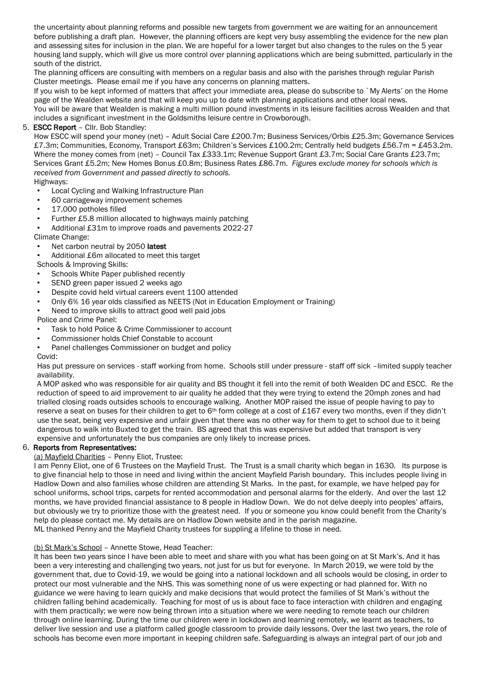the uncertainty about planning reforms and possible new targets from government we are waiting for an announcement before publishing a draft plan. However, the planning officers are kept very busy assembling the evidence for the new plan and assessing sites for inclusion in the plan. We are hopeful for a lower target but also changes to the rules on the 5 year housing land supply, which will give us more control over planning applications which are being submitted, particularly in the south of the district.

The planning officers are consulting with members on a regular basis and also with the parishes through regular Parish Cluster meetings. Please email me if you have any concerns on planning matters.

If you wish to be kept informed of matters that affect your immediate area, please do subscribe to `My Alerts' on the Home page of the Wealden website and that will keep you up to date with planning applications and other local news.

You will be aware that Wealden is making a multi million pound investments in its leisure facilities across Wealden and that includes a significant investment in the Goldsmiths leisure centre in Crowborough.

## 5. ESCC Report – Cllr. Bob Standley:

How ESCC will spend your money (net) – Adult Social Care £200.7m; Business Services/Orbis £25.3m; Governance Services £7.3m; Communities, Economy, Transport £63m; Children's Services £100.2m; Centrally held budgets £56.7m = £453.2m. Where the money comes from (net) – Council Tax £333.1m; Revenue Support Grant £3.7m; Social Care Grants £23.7m; Services Grant £5.2m; New Homes Bonus £0.8m; Business Rates £86.7m. *Figures exclude money for schools which is received from Government and passed directly to schools.* Highways:

- Local Cycling and Walking Infrastructure Plan
- 60 carriageway improvement schemes
- 17,000 potholes filled
- Further £5.8 million allocated to highways mainly patching
- Additional £31m to improve roads and pavements 2022-27
- Climate Change:
- Net carbon neutral by 2050 latest
- Additional £6m allocated to meet this target

# Schools & Improving Skills:

- Schools White Paper published recently
- SEND green paper issued 2 weeks ago
- Despite covid held virtual careers event 1100 attended
- Only 6% 16 year olds classified as NEETS (Not in Education Employment or Training)
- Need to improve skills to attract good well paid jobs

Police and Crime Panel:

- Task to hold Police & Crime Commissioner to account
- Commissioner holds Chief Constable to account
- Panel challenges Commissioner on budget and policy

Covid:

Has put pressure on services - staff working from home. Schools still under pressure - staff off sick –limited supply teacher availability.

A MOP asked who was responsible for air quality and BS thought it fell into the remit of both Wealden DC and ESCC. Re the reduction of speed to aid improvement to air quality he added that they were trying to extend the 20mph zones and had trialled closing roads outsides schools to encourage walking. Another MOP raised the issue of people having to pay to reserve a seat on buses for their children to get to  $6<sup>th</sup>$  form college at a cost of £167 every two months, even if they didn't use the seat, being very expensive and unfair given that there was no other way for them to get to school due to it being dangerous to walk into Buxted to get the train. BS agreed that this was expensive but added that transport is very expensive and unfortunately the bus companies are only likely to increase prices.

### 6. Reports from Representatives:

(a) Mayfield Charities – Penny Eliot, Trustee:

I am Penny Eliot, one of 6 Trustees on the Mayfield Trust. The Trust is a small charity which began in 1630. Its purpose is to give financial help to those in need and living within the ancient Mayfield Parish boundary. This includes people living in Hadlow Down and also families whose children are attending St Marks. In the past, for example, we have helped pay for school uniforms, school trips, carpets for rented accommodation and personal alarms for the elderly. And over the last 12 months, we have provided financial assistance to 8 people in Hadlow Down. We do not delve deeply into peoples' affairs, but obviously we try to prioritize those with the greatest need. If you or someone you know could benefit from the Charity's help do please contact me. My details are on Hadlow Down website and in the parish magazine. ML thanked Penny and the Mayfield Charity trustees for suppling a lifeline to those in need.

### (b) St Mark's School – Annette Stowe, Head Teacher:

It has been two years since I have been able to meet and share with you what has been going on at St Mark's. And it has been a very interesting and challenging two years, not just for us but for everyone. In March 2019, we were told by the government that, due to Covid-19, we would be going into a national lockdown and all schools would be closing, in order to protect our most vulnerable and the NHS. This was something none of us were expecting or had planned for. With no guidance we were having to learn quickly and make decisions that would protect the families of St Mark's without the children falling behind academically. Teaching for most of us is about face to face interaction with children and engaging with them practically; we were now being thrown into a situation where we were needing to remote teach our children through online learning. During the time our children were in lockdown and learning remotely, we learnt as teachers, to deliver live session and use a platform called google classroom to provide daily lessons. Over the last two years, the role of schools has become even more important in keeping children safe. Safeguarding is always an integral part of our job and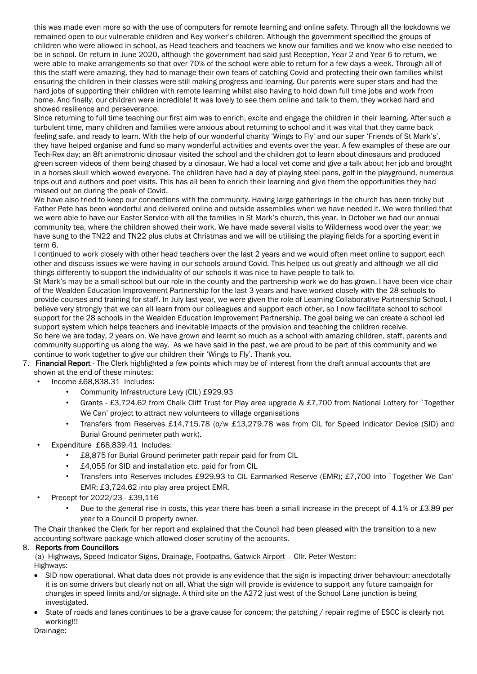this was made even more so with the use of computers for remote learning and online safety. Through all the lockdowns we remained open to our vulnerable children and Key worker's children. Although the government specified the groups of children who were allowed in school, as Head teachers and teachers we know our families and we know who else needed to be in school. On return in June 2020, although the government had said just Reception, Year 2 and Year 6 to return, we were able to make arrangements so that over 70% of the school were able to return for a few days a week. Through all of this the staff were amazing, they had to manage their own fears of catching Covid and protecting their own families whilst ensuring the children in their classes were still making progress and learning. Our parents were super stars and had the hard jobs of supporting their children with remote learning whilst also having to hold down full time jobs and work from home. And finally, our children were incredible! It was lovely to see them online and talk to them, they worked hard and showed resilience and perseverance.

Since returning to full time teaching our first aim was to enrich, excite and engage the children in their learning. After such a turbulent time, many children and families were anxious about returning to school and it was vital that they came back feeling safe, and ready to learn. With the help of our wonderful charity 'Wings to Fly' and our super 'Friends of St Mark's', they have helped organise and fund so many wonderful activities and events over the year. A few examples of these are our Tech-Rex day; an 8ft animatronic dinosaur visited the school and the children got to learn about dinosaurs and produced green screen videos of them being chased by a dinosaur. We had a local vet come and give a talk about her job and brought in a horses skull which wowed everyone. The children have had a day of playing steel pans, golf in the playground, numerous trips out and authors and poet visits. This has all been to enrich their learning and give them the opportunities they had missed out on during the peak of Covid.

We have also tried to keep our connections with the community. Having large gatherings in the church has been tricky but Father Pete has been wonderful and delivered online and outside assemblies when we have needed it. We were thrilled that we were able to have our Easter Service with all the families in St Mark's church, this year. In October we had our annual community tea, where the children showed their work. We have made several visits to Wilderness wood over the year; we have sung to the TN22 and TN22 plus clubs at Christmas and we will be utilising the playing fields for a sporting event in term 6.

I continued to work closely with other head teachers over the last 2 years and we would often meet online to support each other and discuss issues we were having in our schools around Covid. This helped us out greatly and although we all did things differently to support the individuality of our schools it was nice to have people to talk to.

St Mark's may be a small school but our role in the county and the partnership work we do has grown. I have been vice chair of the Wealden Education Improvement Partnership for the last 3 years and have worked closely with the 28 schools to provide courses and training for staff. In July last year, we were given the role of Learning Collaborative Partnership School. I believe very strongly that we can all learn from our colleagues and support each other, so I now facilitate school to school support for the 28 schools in the Wealden Education Improvement Partnership. The goal being we can create a school led support system which helps teachers and inevitable impacts of the provision and teaching the children receive. So here we are today, 2 years on. We have grown and learnt so much as a school with amazing children, staff, parents and community supporting us along the way. As we have said in the past, we are proud to be part of this community and we

continue to work together to give our children their 'Wings to Fly'. Thank you.

- 7. Financial Report The Clerk highlighted a few points which may be of interest from the draft annual accounts that are shown at the end of these minutes:
	- Income £68,838.31 Includes:
		- Community Infrastructure Levy (CIL) £929.93
		- Grants £3,724.62 from Chalk Cliff Trust for Play area upgrade & £7,700 from National Lottery for `Together We Can' project to attract new volunteers to village organisations
		- Transfers from Reserves £14,715.78 (o/w £13,279.78 was from CIL for Speed Indicator Device (SID) and Burial Ground perimeter path work).
	- Expenditure £68,839.41 Includes:
		- £8,875 for Burial Ground perimeter path repair paid for from CIL
		- £4,055 for SID and installation etc. paid for from CIL
		- Transfers into Reserves includes £929.93 to CIL Earmarked Reserve (EMR); £7,700 into `Together We Can' EMR; £3,724.62 into play area project EMR.
	- Precept for 2022/23 £39,116
		- Due to the general rise in costs, this year there has been a small increase in the precept of 4.1% or £3.89 per year to a Council D property owner.

The Chair thanked the Clerk for her report and explained that the Council had been pleased with the transition to a new accounting software package which allowed closer scrutiny of the accounts.

### 8. Reports from Councillors

 (a) Highways, Speed Indicator Signs, Drainage, Footpaths, Gatwick Airport – Cllr. Peter Weston: Highways:

- SID now operational. What data does not provide is any evidence that the sign is impacting driver behaviour; anecdotally it is on some drivers but clearly not on all. What the sign will provide is evidence to support any future campaign for changes in speed limits and/or signage. A third site on the A272 just west of the School Lane junction is being investigated.
- State of roads and lanes continues to be a grave cause for concern; the patching / repair regime of ESCC is clearly not working!!!

Drainage: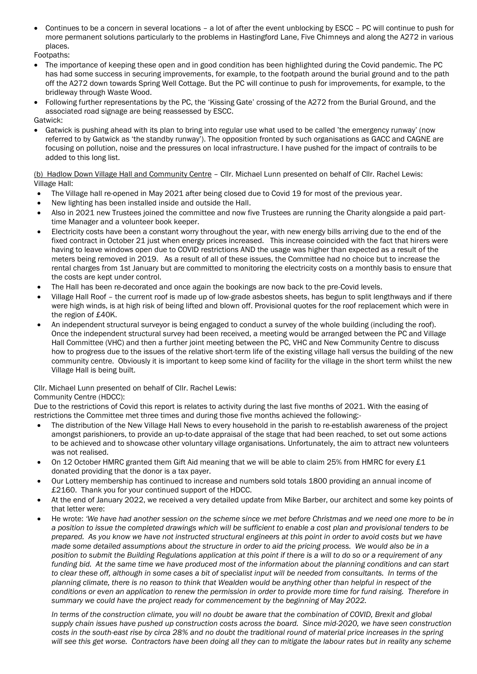• Continues to be a concern in several locations – a lot of after the event unblocking by ESCC – PC will continue to push for more permanent solutions particularly to the problems in Hastingford Lane, Five Chimneys and along the A272 in various places.

Footpaths:

- The importance of keeping these open and in good condition has been highlighted during the Covid pandemic. The PC has had some success in securing improvements, for example, to the footpath around the burial ground and to the path off the A272 down towards Spring Well Cottage. But the PC will continue to push for improvements, for example, to the bridleway through Waste Wood.
- Following further representations by the PC, the 'Kissing Gate' crossing of the A272 from the Burial Ground, and the associated road signage are being reassessed by ESCC.
- Gatwick:
- Gatwick is pushing ahead with its plan to bring into regular use what used to be called 'the emergency runway' (now referred to by Gatwick as 'the standby runway'). The opposition fronted by such organisations as GACC and CAGNE are focusing on pollution, noise and the pressures on local infrastructure. I have pushed for the impact of contrails to be added to this long list.

(b) Hadlow Down Village Hall and Community Centre - Cllr. Michael Lunn presented on behalf of Cllr. Rachel Lewis: Village Hall:

- The Village hall re-opened in May 2021 after being closed due to Covid 19 for most of the previous year.
- New lighting has been installed inside and outside the Hall.
- Also in 2021 new Trustees joined the committee and now five Trustees are running the Charity alongside a paid parttime Manager and a volunteer book keeper.
- Electricity costs have been a constant worry throughout the year, with new energy bills arriving due to the end of the fixed contract in October 21 just when energy prices increased. This increase coincided with the fact that hirers were having to leave windows open due to COVID restrictions AND the usage was higher than expected as a result of the meters being removed in 2019. As a result of all of these issues, the Committee had no choice but to increase the rental charges from 1st January but are committed to monitoring the electricity costs on a monthly basis to ensure that the costs are kept under control.
- The Hall has been re-decorated and once again the bookings are now back to the pre-Covid levels.
- Village Hall Roof the current roof is made up of low-grade asbestos sheets, has begun to split lengthways and if there were high winds, is at high risk of being lifted and blown off. Provisional quotes for the roof replacement which were in the region of £40K.
- An independent structural surveyor is being engaged to conduct a survey of the whole building (including the roof). Once the independent structural survey had been received, a meeting would be arranged between the PC and Village Hall Committee (VHC) and then a further joint meeting between the PC, VHC and New Community Centre to discuss how to progress due to the issues of the relative short-term life of the existing village hall versus the building of the new community centre. Obviously it is important to keep some kind of facility for the village in the short term whilst the new Village Hall is being built.

### Cllr. Michael Lunn presented on behalf of Cllr. Rachel Lewis:

### Community Centre (HDCC):

Due to the restrictions of Covid this report is relates to activity during the last five months of 2021. With the easing of restrictions the Committee met three times and during those five months achieved the following:-

- The distribution of the New Village Hall News to every household in the parish to re-establish awareness of the project amongst parishioners, to provide an up-to-date appraisal of the stage that had been reached, to set out some actions to be achieved and to showcase other voluntary village organisations. Unfortunately, the aim to attract new volunteers was not realised.
- On 12 October HMRC granted them Gift Aid meaning that we will be able to claim 25% from HMRC for every £1 donated providing that the donor is a tax payer.
- Our Lottery membership has continued to increase and numbers sold totals 1800 providing an annual income of £2160. Thank you for your continued support of the HDCC.
- At the end of January 2022, we received a very detailed update from Mike Barber, our architect and some key points of that letter were:
- He wrote: *'We have had another session on the scheme since we met before Christmas and we need one more to be in a position to issue the completed drawings which will be sufficient to enable a cost plan and provisional tenders to be prepared. As you know we have not instructed structural engineers at this point in order to avoid costs but we have made some detailed assumptions about the structure in order to aid the pricing process. We would also be in a position to submit the Building Regulations application at this point if there is a will to do so or a requirement of any funding bid. At the same time we have produced most of the information about the planning conditions and can start*  to clear these off, although in some cases a bit of specialist input will be needed from consultants. In terms of the *planning climate, there is no reason to think that Wealden would be anything other than helpful in respect of the conditions or even an application to renew the permission in order to provide more time for fund raising. Therefore in summary we could have the project ready for commencement by the beginning of May 2022.*

*In terms of the construction climate, you will no doubt be aware that the combination of COVID, Brexit and global supply chain issues have pushed up construction costs across the board. Since mid-2020, we have seen construction costs in the south-east rise by circa 28% and no doubt the traditional round of material price increases in the spring will see this get worse. Contractors have been doing all they can to mitigate the labour rates but in reality any scheme*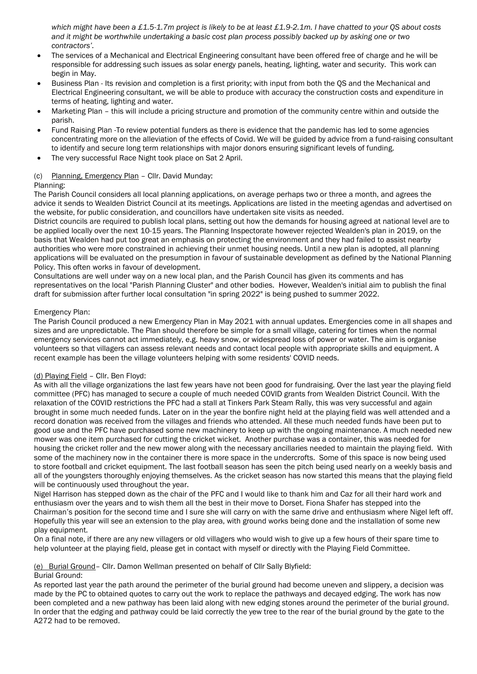*which might have been a £1.5-1.7m project is likely to be at least £1.9-2.1m. I have chatted to your QS about costs and it might be worthwhile undertaking a basic cost plan process possibly backed up by asking one or two contractors'.*

- The services of a Mechanical and Electrical Engineering consultant have been offered free of charge and he will be responsible for addressing such issues as solar energy panels, heating, lighting, water and security. This work can begin in May.
- Business Plan Its revision and completion is a first priority; with input from both the QS and the Mechanical and Electrical Engineering consultant, we will be able to produce with accuracy the construction costs and expenditure in terms of heating, lighting and water.
- Marketing Plan this will include a pricing structure and promotion of the community centre within and outside the parish.
- Fund Raising Plan -To review potential funders as there is evidence that the pandemic has led to some agencies concentrating more on the alleviation of the effects of Covid. We will be guided by advice from a fund-raising consultant to identify and secure long term relationships with major donors ensuring significant levels of funding.
- The very successful Race Night took place on Sat 2 April.

### (c) Planning, Emergency Plan – Cllr. David Munday:

### Planning:

The Parish Council considers all local planning applications, on average perhaps two or three a month, and agrees the advice it sends to Wealden District Council at its meetings. Applications are listed in the meeting agendas and advertised on the website, for public consideration, and councillors have undertaken site visits as needed.

District councils are required to publish local plans, setting out how the demands for housing agreed at national level are to be applied locally over the next 10-15 years. The Planning Inspectorate however rejected Wealden's plan in 2019, on the basis that Wealden had put too great an emphasis on protecting the environment and they had failed to assist nearby authorities who were more constrained in achieving their unmet housing needs. Until a new plan is adopted, all planning applications will be evaluated on the presumption in favour of sustainable development as defined by the National Planning Policy. This often works in favour of development.

Consultations are well under way on a new local plan, and the Parish Council has given its comments and has representatives on the local "Parish Planning Cluster" and other bodies. However, Wealden's initial aim to publish the final draft for submission after further local consultation "in spring 2022" is being pushed to summer 2022.

### Emergency Plan:

The Parish Council produced a new Emergency Plan in May 2021 with annual updates. Emergencies come in all shapes and sizes and are unpredictable. The Plan should therefore be simple for a small village, catering for times when the normal emergency services cannot act immediately, e.g. heavy snow, or widespread loss of power or water. The aim is organise volunteers so that villagers can assess relevant needs and contact local people with appropriate skills and equipment. A recent example has been the village volunteers helping with some residents' COVID needs.

### (d) Playing Field – Cllr. Ben Floyd:

As with all the village organizations the last few years have not been good for fundraising. Over the last year the playing field committee (PFC) has managed to secure a couple of much needed COVID grants from Wealden District Council. With the relaxation of the COVID restrictions the PFC had a stall at Tinkers Park Steam Rally, this was very successful and again brought in some much needed funds. Later on in the year the bonfire night held at the playing field was well attended and a record donation was received from the villages and friends who attended. All these much needed funds have been put to good use and the PFC have purchased some new machinery to keep up with the ongoing maintenance. A much needed new mower was one item purchased for cutting the cricket wicket. Another purchase was a container, this was needed for housing the cricket roller and the new mower along with the necessary ancillaries needed to maintain the playing field. With some of the machinery now in the container there is more space in the undercrofts. Some of this space is now being used to store football and cricket equipment. The last football season has seen the pitch being used nearly on a weekly basis and all of the youngsters thoroughly enjoying themselves. As the cricket season has now started this means that the playing field will be continuously used throughout the year.

Nigel Harrison has stepped down as the chair of the PFC and I would like to thank him and Caz for all their hard work and enthusiasm over the years and to wish them all the best in their move to Dorset. Fiona Shafer has stepped into the Chairman's position for the second time and I sure she will carry on with the same drive and enthusiasm where Nigel left off. Hopefully this year will see an extension to the play area, with ground works being done and the installation of some new play equipment.

On a final note, if there are any new villagers or old villagers who would wish to give up a few hours of their spare time to help volunteer at the playing field, please get in contact with myself or directly with the Playing Field Committee.

### (e) Burial Ground– Cllr. Damon Wellman presented on behalf of Cllr Sally Blyfield:

### Burial Ground:

As reported last year the path around the perimeter of the burial ground had become uneven and slippery, a decision was made by the PC to obtained quotes to carry out the work to replace the pathways and decayed edging. The work has now been completed and a new pathway has been laid along with new edging stones around the perimeter of the burial ground. In order that the edging and pathway could be laid correctly the yew tree to the rear of the burial ground by the gate to the A272 had to be removed.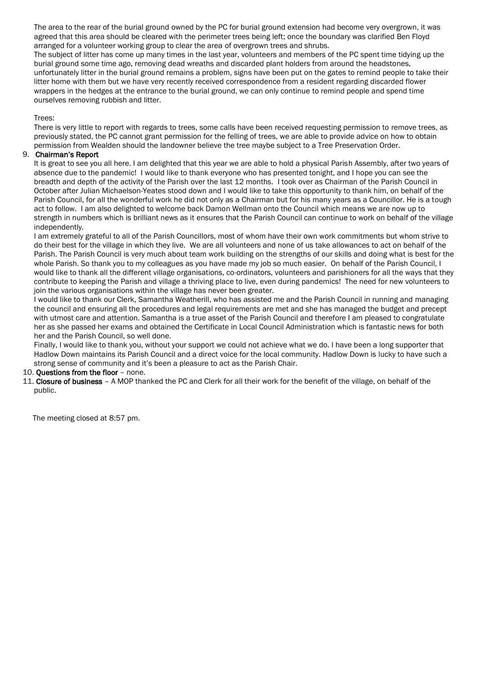The area to the rear of the burial ground owned by the PC for burial ground extension had become very overgrown, it was agreed that this area should be cleared with the perimeter trees being left; once the boundary was clarified Ben Floyd arranged for a volunteer working group to clear the area of overgrown trees and shrubs.

The subject of litter has come up many times in the last year, volunteers and members of the PC spent time tidying up the burial ground some time ago, removing dead wreaths and discarded plant holders from around the headstones, unfortunately litter in the burial ground remains a problem, signs have been put on the gates to remind people to take their litter home with them but we have very recently received correspondence from a resident regarding discarded flower wrappers in the hedges at the entrance to the burial ground, we can only continue to remind people and spend time ourselves removing rubbish and litter.

Trees:

There is very little to report with regards to trees, some calls have been received requesting permission to remove trees, as previously stated, the PC cannot grant permission for the felling of trees, we are able to provide advice on how to obtain permission from Wealden should the landowner believe the tree maybe subject to a Tree Preservation Order.

### 9. Chairman's Report

It is great to see you all here. I am delighted that this year we are able to hold a physical Parish Assembly, after two years of absence due to the pandemic! I would like to thank everyone who has presented tonight, and I hope you can see the breadth and depth of the activity of the Parish over the last 12 months. I took over as Chairman of the Parish Council in October after Julian Michaelson-Yeates stood down and I would like to take this opportunity to thank him, on behalf of the Parish Council, for all the wonderful work he did not only as a Chairman but for his many years as a Councillor. He is a tough act to follow. I am also delighted to welcome back Damon Wellman onto the Council which means we are now up to strength in numbers which is brilliant news as it ensures that the Parish Council can continue to work on behalf of the village independently.

I am extremely grateful to all of the Parish Councillors, most of whom have their own work commitments but whom strive to do their best for the village in which they live. We are all volunteers and none of us take allowances to act on behalf of the Parish. The Parish Council is very much about team work building on the strengths of our skills and doing what is best for the whole Parish. So thank you to my colleagues as you have made my job so much easier. On behalf of the Parish Council, I would like to thank all the different village organisations, co-ordinators, volunteers and parishioners for all the ways that they contribute to keeping the Parish and village a thriving place to live, even during pandemics! The need for new volunteers to join the various organisations within the village has never been greater.

I would like to thank our Clerk, Samantha Weatherill, who has assisted me and the Parish Council in running and managing the council and ensuring all the procedures and legal requirements are met and she has managed the budget and precept with utmost care and attention. Samantha is a true asset of the Parish Council and therefore I am pleased to congratulate her as she passed her exams and obtained the Certificate in Local Council Administration which is fantastic news for both her and the Parish Council, so well done.

Finally, I would like to thank you, without your support we could not achieve what we do. I have been a long supporter that Hadlow Down maintains its Parish Council and a direct voice for the local community. Hadlow Down is lucky to have such a strong sense of community and it's been a pleasure to act as the Parish Chair.

### 10. Questions from the floor – none.

11. Closure of business – A MOP thanked the PC and Clerk for all their work for the benefit of the village, on behalf of the public.

The meeting closed at 8:57 pm.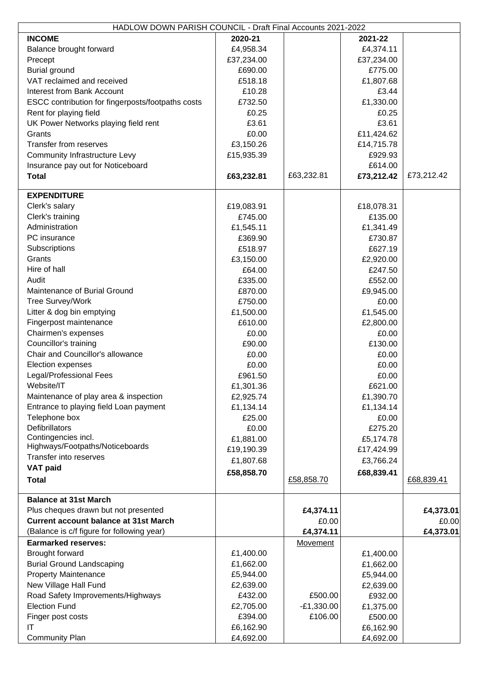| HADLOW DOWN PARISH COUNCIL - Draft Final Accounts 2021-2022 |            |              |            |            |  |  |
|-------------------------------------------------------------|------------|--------------|------------|------------|--|--|
| <b>INCOME</b>                                               | 2020-21    |              | 2021-22    |            |  |  |
| Balance brought forward                                     | £4,958.34  |              | £4,374.11  |            |  |  |
| Precept                                                     | £37,234.00 |              | £37,234.00 |            |  |  |
| <b>Burial ground</b>                                        | £690.00    |              | £775.00    |            |  |  |
| VAT reclaimed and received                                  | £518.18    |              | £1,807.68  |            |  |  |
|                                                             |            |              |            |            |  |  |
| <b>Interest from Bank Account</b>                           | £10.28     |              | £3.44      |            |  |  |
| ESCC contribution for fingerposts/footpaths costs           | £732.50    |              | £1,330.00  |            |  |  |
| Rent for playing field                                      | £0.25      |              | £0.25      |            |  |  |
| UK Power Networks playing field rent                        | £3.61      |              | £3.61      |            |  |  |
| Grants                                                      | £0.00      |              | £11,424.62 |            |  |  |
| <b>Transfer from reserves</b>                               | £3,150.26  |              | £14,715.78 |            |  |  |
| <b>Community Infrastructure Levy</b>                        | £15,935.39 |              | £929.93    |            |  |  |
| Insurance pay out for Noticeboard                           |            |              | £614.00    |            |  |  |
| <b>Total</b>                                                | £63,232.81 | £63,232.81   | £73,212.42 | £73,212.42 |  |  |
|                                                             |            |              |            |            |  |  |
| <b>EXPENDITURE</b>                                          |            |              |            |            |  |  |
| Clerk's salary                                              | £19,083.91 |              | £18,078.31 |            |  |  |
| Clerk's training                                            | £745.00    |              | £135.00    |            |  |  |
| Administration                                              | £1,545.11  |              | £1,341.49  |            |  |  |
| PC insurance                                                | £369.90    |              | £730.87    |            |  |  |
|                                                             |            |              |            |            |  |  |
| Subscriptions                                               | £518.97    |              | £627.19    |            |  |  |
| Grants                                                      | £3,150.00  |              | £2,920.00  |            |  |  |
| Hire of hall                                                | £64.00     |              | £247.50    |            |  |  |
| Audit                                                       | £335.00    |              | £552.00    |            |  |  |
| Maintenance of Burial Ground                                | £870.00    |              | £9,945.00  |            |  |  |
| <b>Tree Survey/Work</b>                                     | £750.00    |              | £0.00      |            |  |  |
| Litter & dog bin emptying                                   | £1,500.00  |              | £1,545.00  |            |  |  |
| Fingerpost maintenance                                      | £610.00    |              | £2,800.00  |            |  |  |
| Chairmen's expenses                                         | £0.00      |              | £0.00      |            |  |  |
| Councillor's training                                       | £90.00     |              | £130.00    |            |  |  |
| Chair and Councillor's allowance                            | £0.00      |              | £0.00      |            |  |  |
| Election expenses                                           | £0.00      |              | £0.00      |            |  |  |
| Legal/Professional Fees                                     | £961.50    |              | £0.00      |            |  |  |
| Website/IT                                                  | £1,301.36  |              | £621.00    |            |  |  |
| Maintenance of play area & inspection                       | £2,925.74  |              | £1,390.70  |            |  |  |
| Entrance to playing field Loan payment                      |            |              |            |            |  |  |
|                                                             | £1,134.14  |              | £1,134.14  |            |  |  |
| Telephone box                                               | £25.00     |              | £0.00      |            |  |  |
| <b>Defibrillators</b>                                       | £0.00      |              | £275.20    |            |  |  |
| Contingencies incl.<br>Highways/Footpaths/Noticeboards      | £1,881.00  |              | £5,174.78  |            |  |  |
| Transfer into reserves                                      | £19,190.39 |              | £17,424.99 |            |  |  |
|                                                             | £1,807.68  |              | £3,766.24  |            |  |  |
| <b>VAT paid</b>                                             | £58,858.70 |              | £68,839.41 |            |  |  |
| <b>Total</b>                                                |            | £58,858.70   |            | £68,839.41 |  |  |
|                                                             |            |              |            |            |  |  |
| <b>Balance at 31st March</b>                                |            |              |            |            |  |  |
| Plus cheques drawn but not presented                        |            | £4,374.11    |            | £4,373.01  |  |  |
| <b>Current account balance at 31st March</b>                |            | £0.00        |            | £0.00      |  |  |
| (Balance is c/f figure for following year)                  |            | £4,374.11    |            | £4,373.01  |  |  |
| <b>Earmarked reserves:</b>                                  |            | Movement     |            |            |  |  |
| Brought forward                                             | £1,400.00  |              | £1,400.00  |            |  |  |
| <b>Burial Ground Landscaping</b>                            | £1,662.00  |              | £1,662.00  |            |  |  |
| <b>Property Maintenance</b>                                 | £5,944.00  |              | £5,944.00  |            |  |  |
| New Village Hall Fund                                       | £2,639.00  |              | £2,639.00  |            |  |  |
| Road Safety Improvements/Highways                           | £432.00    | £500.00      | £932.00    |            |  |  |
| <b>Election Fund</b>                                        |            | $-E1,330.00$ |            |            |  |  |
|                                                             | £2,705.00  | £106.00      | £1,375.00  |            |  |  |
| Finger post costs                                           | £394.00    |              | £500.00    |            |  |  |
| ΙT                                                          | £6,162.90  |              | £6,162.90  |            |  |  |
| <b>Community Plan</b>                                       | £4,692.00  |              | £4,692.00  |            |  |  |